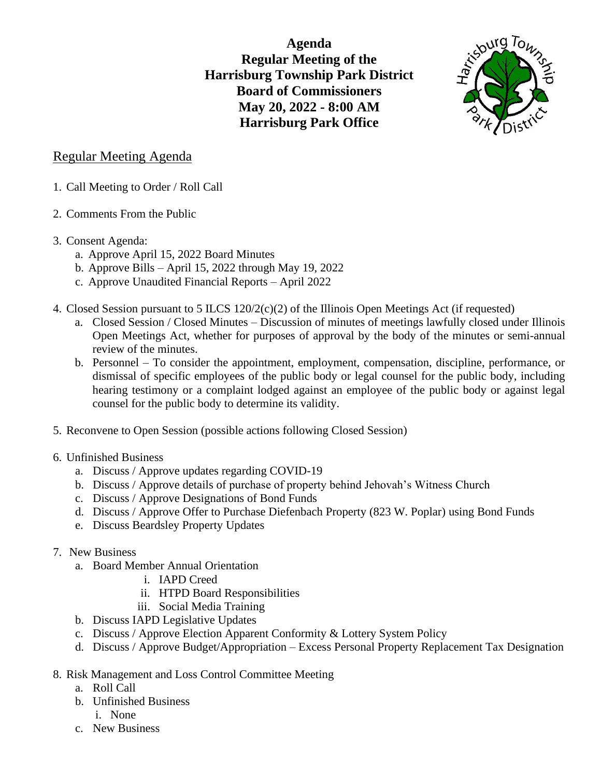**Agenda Regular Meeting of the Harrisburg Township Park District Board of Commissioners May 20, 2022 - 8:00 AM Harrisburg Park Office**



## Regular Meeting Agenda

- 1. Call Meeting to Order / Roll Call
- 2. Comments From the Public
- 3. Consent Agenda:
	- a. Approve April 15, 2022 Board Minutes
	- b. Approve Bills April 15, 2022 through May 19, 2022
	- c. Approve Unaudited Financial Reports April 2022
- 4. Closed Session pursuant to 5 ILCS  $120/2(c)(2)$  of the Illinois Open Meetings Act (if requested)
	- a. Closed Session / Closed Minutes Discussion of minutes of meetings lawfully closed under Illinois Open Meetings Act, whether for purposes of approval by the body of the minutes or semi-annual review of the minutes.
	- b. Personnel To consider the appointment, employment, compensation, discipline, performance, or dismissal of specific employees of the public body or legal counsel for the public body, including hearing testimony or a complaint lodged against an employee of the public body or against legal counsel for the public body to determine its validity.
- 5. Reconvene to Open Session (possible actions following Closed Session)
- 6. Unfinished Business
	- a. Discuss / Approve updates regarding COVID-19
	- b. Discuss / Approve details of purchase of property behind Jehovah's Witness Church
	- c. Discuss / Approve Designations of Bond Funds
	- d. Discuss / Approve Offer to Purchase Diefenbach Property (823 W. Poplar) using Bond Funds
	- e. Discuss Beardsley Property Updates
- 7. New Business
	- a. Board Member Annual Orientation
		- i. IAPD Creed
		- ii. HTPD Board Responsibilities
		- iii. Social Media Training
	- b. Discuss IAPD Legislative Updates
	- c. Discuss / Approve Election Apparent Conformity & Lottery System Policy
	- d. Discuss / Approve Budget/Appropriation Excess Personal Property Replacement Tax Designation
- 8. Risk Management and Loss Control Committee Meeting
	- a. Roll Call
	- b. Unfinished Business
		- i. None
	- c. New Business